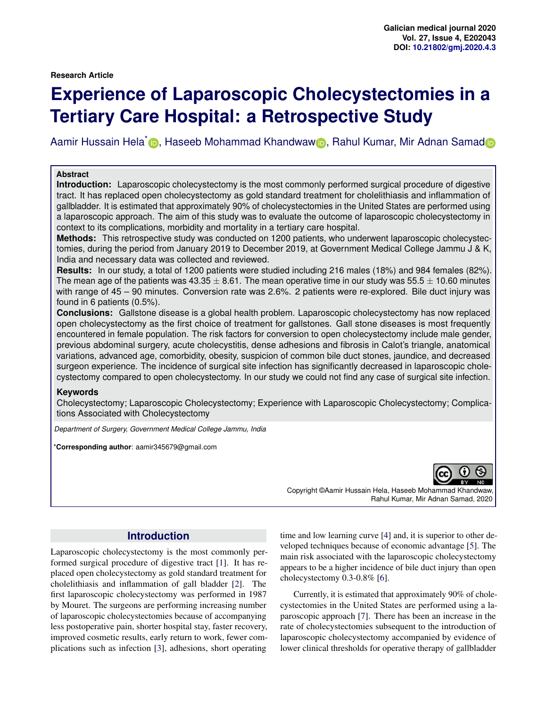# **Experience of Laparoscopic Cholecystectomies in a Tertiary Care Hospital: a Retrospective Study**

Aamir Hussain Hela<sup>\*</sup> D[,](https://orcid.org/0000-0003-1272-4666) Haseeb Mohammad Khand[w](https://orcid.org/0000-0003-3150-3180)aw D, Rahul Kumar, Mir A[d](https://orcid.org/0000-0003-2268-1137)nan Samad

#### **Abstract**

**Introduction:** Laparoscopic cholecystectomy is the most commonly performed surgical procedure of digestive tract. It has replaced open cholecystectomy as gold standard treatment for cholelithiasis and inflammation of gallbladder. It is estimated that approximately 90% of cholecystectomies in the United States are performed using a laparoscopic approach. The aim of this study was to evaluate the outcome of laparoscopic cholecystectomy in context to its complications, morbidity and mortality in a tertiary care hospital.

**Methods:** This retrospective study was conducted on 1200 patients, who underwent laparoscopic cholecystectomies, during the period from January 2019 to December 2019, at Government Medical College Jammu J & K, India and necessary data was collected and reviewed.

**Results:** In our study, a total of 1200 patients were studied including 216 males (18%) and 984 females (82%). The mean age of the patients was 43.35  $\pm$  8.61. The mean operative time in our study was 55.5  $\pm$  10.60 minutes with range of 45 – 90 minutes. Conversion rate was 2.6%. 2 patients were re-explored. Bile duct injury was found in 6 patients (0.5%).

**Conclusions:** Gallstone disease is a global health problem. Laparoscopic cholecystectomy has now replaced open cholecystectomy as the first choice of treatment for gallstones. Gall stone diseases is most frequently encountered in female population. The risk factors for conversion to open cholecystectomy include male gender, previous abdominal surgery, acute cholecystitis, dense adhesions and fibrosis in Calot's triangle, anatomical variations, advanced age, comorbidity, obesity, suspicion of common bile duct stones, jaundice, and decreased surgeon experience. The incidence of surgical site infection has significantly decreased in laparoscopic cholecystectomy compared to open cholecystectomy. In our study we could not find any case of surgical site infection.

#### **Keywords**

Cholecystectomy; Laparoscopic Cholecystectomy; Experience with Laparoscopic Cholecystectomy; Complications Associated with Cholecystectomy

*Department of Surgery, Government Medical College Jammu, India*

\***Corresponding author**: aamir345679@gmail.com



Copyright ©Aamir Hussain Hela, Haseeb Mohammad Khandwaw, Rahul Kumar, Mir Adnan Samad, 2020

### **Introduction**

Laparoscopic cholecystectomy is the most commonly performed surgical procedure of digestive tract [\[1\]](#page-2-0). It has replaced open cholecystectomy as gold standard treatment for cholelithiasis and inflammation of gall bladder [\[2\]](#page-2-1). The first laparoscopic cholecystectomy was performed in 1987 by Mouret. The surgeons are performing increasing number of laparoscopic cholecystectomies because of accompanying less postoperative pain, shorter hospital stay, faster recovery, improved cosmetic results, early return to work, fewer complications such as infection [\[3\]](#page-2-2), adhesions, short operating

time and low learning curve [\[4\]](#page-2-3) and, it is superior to other developed techniques because of economic advantage [\[5\]](#page-3-0). The main risk associated with the laparoscopic cholecystectomy appears to be a higher incidence of bile duct injury than open cholecystectomy 0.3-0.8% [\[6\]](#page-3-1).

Currently, it is estimated that approximately 90% of cholecystectomies in the United States are performed using a laparoscopic approach [\[7\]](#page-3-2). There has been an increase in the rate of cholecystectomies subsequent to the introduction of laparoscopic cholecystectomy accompanied by evidence of lower clinical thresholds for operative therapy of gallbladder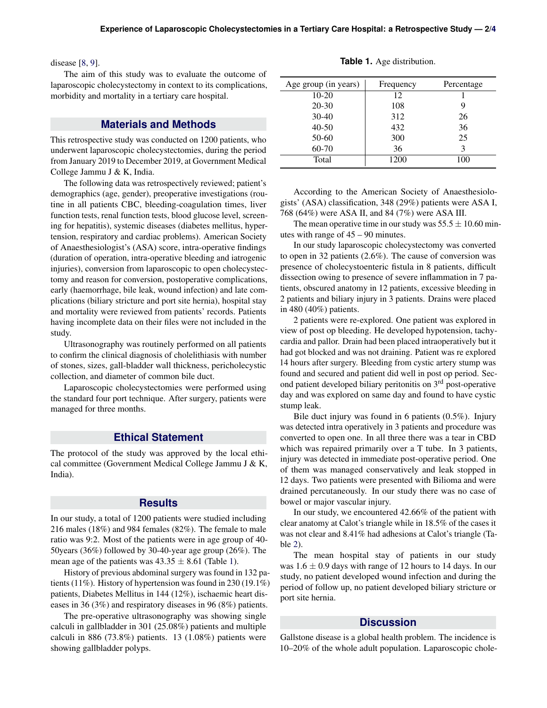disease [\[8,](#page-3-4) [9\]](#page-3-5).

The aim of this study was to evaluate the outcome of laparoscopic cholecystectomy in context to its complications, morbidity and mortality in a tertiary care hospital.

#### **Materials and Methods**

This retrospective study was conducted on 1200 patients, who underwent laparoscopic cholecystectomies, during the period from January 2019 to December 2019, at Government Medical College Jammu J & K, India.

The following data was retrospectively reviewed; patient's demographics (age, gender), preoperative investigations (routine in all patients CBC, bleeding-coagulation times, liver function tests, renal function tests, blood glucose level, screening for hepatitis), systemic diseases (diabetes mellitus, hypertension, respiratory and cardiac problems). American Society of Anaesthesiologist's (ASA) score, intra-operative findings (duration of operation, intra-operative bleeding and iatrogenic injuries), conversion from laparoscopic to open cholecystectomy and reason for conversion, postoperative complications, early (haemorrhage, bile leak, wound infection) and late complications (biliary stricture and port site hernia), hospital stay and mortality were reviewed from patients' records. Patients having incomplete data on their files were not included in the study.

Ultrasonography was routinely performed on all patients to confirm the clinical diagnosis of cholelithiasis with number of stones, sizes, gall-bladder wall thickness, pericholecystic collection, and diameter of common bile duct.

Laparoscopic cholecystectomies were performed using the standard four port technique. After surgery, patients were managed for three months.

#### **Ethical Statement**

The protocol of the study was approved by the local ethical committee (Government Medical College Jammu J & K, India).

#### **Results**

In our study, a total of 1200 patients were studied including 216 males (18%) and 984 females (82%). The female to male ratio was 9:2. Most of the patients were in age group of 40- 50years (36%) followed by 30-40-year age group (26%). The mean age of the patients was  $43.35 \pm 8.61$  (Table [1\)](#page-1-0).

History of previous abdominal surgery was found in 132 patients (11%). History of hypertension was found in 230 (19.1%) patients, Diabetes Mellitus in 144 (12%), ischaemic heart diseases in 36 (3%) and respiratory diseases in 96 (8%) patients.

The pre-operative ultrasonography was showing single calculi in gallbladder in 301 (25.08%) patients and multiple calculi in 886  $(73.8\%)$  patients. 13  $(1.08\%)$  patients were showing gallbladder polyps.

**Table 1.** Age distribution.

<span id="page-1-0"></span>

| Age group (in years) | Frequency | Percentage |
|----------------------|-----------|------------|
| $10-20$              | 12        |            |
| $20 - 30$            | 108       |            |
| $30-40$              | 312       | 26         |
| $40 - 50$            | 432       | 36         |
| $50-60$              | 300       | 25         |
| 60-70                | 36        |            |
| Total                | 1200      | 100        |

According to the American Society of Anaesthesiologists' (ASA) classification, 348 (29%) patients were ASA I, 768 (64%) were ASA II, and 84 (7%) were ASA III.

The mean operative time in our study was  $55.5 \pm 10.60$  minutes with range of 45 – 90 minutes.

In our study laparoscopic cholecystectomy was converted to open in 32 patients (2.6%). The cause of conversion was presence of cholecystoenteric fistula in 8 patients, difficult dissection owing to presence of severe inflammation in 7 patients, obscured anatomy in 12 patients, excessive bleeding in 2 patients and biliary injury in 3 patients. Drains were placed in 480 (40%) patients.

2 patients were re-explored. One patient was explored in view of post op bleeding. He developed hypotension, tachycardia and pallor. Drain had been placed intraoperatively but it had got blocked and was not draining. Patient was re explored 14 hours after surgery. Bleeding from cystic artery stump was found and secured and patient did well in post op period. Second patient developed biliary peritonitis on 3<sup>rd</sup> post-operative day and was explored on same day and found to have cystic stump leak.

Bile duct injury was found in 6 patients (0.5%). Injury was detected intra operatively in 3 patients and procedure was converted to open one. In all three there was a tear in CBD which was repaired primarily over a T tube. In 3 patients, injury was detected in immediate post-operative period. One of them was managed conservatively and leak stopped in 12 days. Two patients were presented with Bilioma and were drained percutaneously. In our study there was no case of bowel or major vascular injury.

In our study, we encountered 42.66% of the patient with clear anatomy at Calot's triangle while in 18.5% of the cases it was not clear and 8.41% had adhesions at Calot's triangle (Table [2\)](#page-2-4).

The mean hospital stay of patients in our study was  $1.6 \pm 0.9$  days with range of 12 hours to 14 days. In our study, no patient developed wound infection and during the period of follow up, no patient developed biliary stricture or port site hernia.

#### **Discussion**

Gallstone disease is a global health problem. The incidence is 10–20% of the whole adult population. Laparoscopic chole-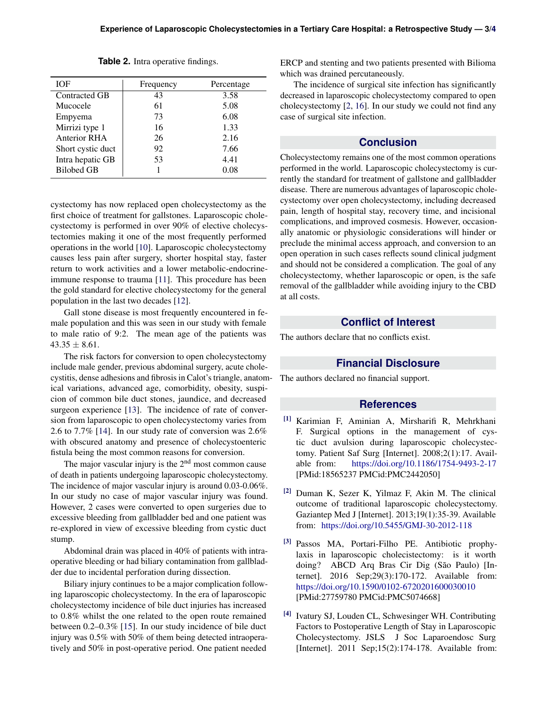<span id="page-2-4"></span>

| Frequency | Percentage |
|-----------|------------|
| 43        | 3.58       |
| 61        | 5.08       |
| 73        | 6.08       |
| 16        | 1.33       |
| 26        | 2.16       |
| 92        | 7.66       |
| 53        | 4.41       |
|           | 0.08       |
|           |            |

**Table 2.** Intra operative findings.

cystectomy has now replaced open cholecystectomy as the first choice of treatment for gallstones. Laparoscopic cholecystectomy is performed in over 90% of elective cholecystectomies making it one of the most frequently performed operations in the world [\[10\]](#page-3-6). Laparoscopic cholecystectomy causes less pain after surgery, shorter hospital stay, faster return to work activities and a lower metabolic-endocrineimmune response to trauma [\[11\]](#page-3-7). This procedure has been the gold standard for elective cholecystectomy for the general population in the last two decades [\[12\]](#page-3-8).

Gall stone disease is most frequently encountered in female population and this was seen in our study with female to male ratio of 9:2. The mean age of the patients was  $43.35 \pm 8.61$ .

The risk factors for conversion to open cholecystectomy include male gender, previous abdominal surgery, acute cholecystitis, dense adhesions and fibrosis in Calot's triangle, anatomical variations, advanced age, comorbidity, obesity, suspicion of common bile duct stones, jaundice, and decreased surgeon experience [\[13\]](#page-3-9). The incidence of rate of conversion from laparoscopic to open cholecystectomy varies from 2.6 to 7.7% [\[14\]](#page-3-10). In our study rate of conversion was 2.6% with obscured anatomy and presence of cholecystoenteric fistula being the most common reasons for conversion.

The major vascular injury is the  $2<sup>nd</sup>$  most common cause of death in patients undergoing laparoscopic cholecystectomy. The incidence of major vascular injury is around 0.03-0.06%. In our study no case of major vascular injury was found. However, 2 cases were converted to open surgeries due to excessive bleeding from gallbladder bed and one patient was re-explored in view of excessive bleeding from cystic duct stump.

Abdominal drain was placed in 40% of patients with intraoperative bleeding or had biliary contamination from gallbladder due to incidental perforation during dissection.

Biliary injury continues to be a major complication following laparoscopic cholecystectomy. In the era of laparoscopic cholecystectomy incidence of bile duct injuries has increased to 0.8% whilst the one related to the open route remained between 0.2–0.3% [\[15\]](#page-3-11). In our study incidence of bile duct injury was 0.5% with 50% of them being detected intraoperatively and 50% in post-operative period. One patient needed

ERCP and stenting and two patients presented with Bilioma which was drained percutaneously.

The incidence of surgical site infection has significantly decreased in laparoscopic cholecystectomy compared to open cholecystectomy [\[2,](#page-2-1) [16\]](#page-3-12). In our study we could not find any case of surgical site infection.

## **Conclusion**

Cholecystectomy remains one of the most common operations performed in the world. Laparoscopic cholecystectomy is currently the standard for treatment of gallstone and gallbladder disease. There are numerous advantages of laparoscopic cholecystectomy over open cholecystectomy, including decreased pain, length of hospital stay, recovery time, and incisional complications, and improved cosmesis. However, occasionally anatomic or physiologic considerations will hinder or preclude the minimal access approach, and conversion to an open operation in such cases reflects sound clinical judgment and should not be considered a complication. The goal of any cholecystectomy, whether laparoscopic or open, is the safe removal of the gallbladder while avoiding injury to the CBD at all costs.

#### **Conflict of Interest**

The authors declare that no conflicts exist.

#### **Financial Disclosure**

The authors declared no financial support.

#### **References**

- <span id="page-2-0"></span>[1] Karimian F, Aminian A, Mirsharifi R, Mehrkhani F. Surgical options in the management of cystic duct avulsion during laparoscopic cholecystectomy. Patient Saf Surg [Internet]. 2008;2(1):17. Available from: <https://doi.org/10.1186/1754-9493-2-17> [PMid:18565237 PMCid:PMC2442050]
- <span id="page-2-1"></span>[2] Duman K, Sezer K, Yilmaz F, Akin M. The clinical outcome of traditional laparoscopic cholecystectomy. Gaziantep Med J [Internet]. 2013;19(1):35-39. Available from: <https://doi.org/10.5455/GMJ-30-2012-118>
- <span id="page-2-2"></span>[3] Passos MA, Portari-Filho PE. Antibiotic prophylaxis in laparoscopic cholecistectomy: is it worth doing? ABCD Arq Bras Cir Dig (São Paulo) [Internet]. 2016 Sep;29(3):170-172. Available from: <https://doi.org/10.1590/0102-6720201600030010> [PMid:27759780 PMCid:PMC5074668]
- <span id="page-2-3"></span>[4] Ivatury SJ, Louden CL, Schwesinger WH. Contributing Factors to Postoperative Length of Stay in Laparoscopic Cholecystectomy. JSLS J Soc Laparoendosc Surg [Internet]. 2011 Sep;15(2):174-178. Available from: